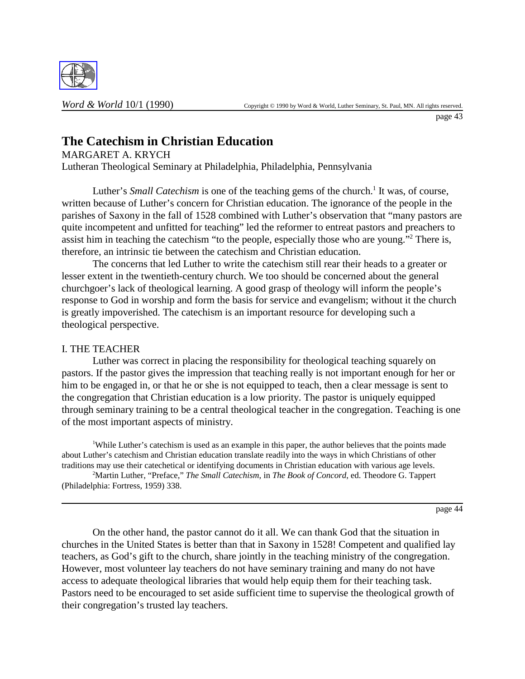

## **The Catechism in Christian Education**

MARGARET A. KRYCH Lutheran Theological Seminary at Philadelphia, Philadelphia, Pennsylvania

Luther's *Small Catechism* is one of the teaching gems of the church.<sup>1</sup> It was, of course, written because of Luther's concern for Christian education. The ignorance of the people in the parishes of Saxony in the fall of 1528 combined with Luther's observation that "many pastors are quite incompetent and unfitted for teaching" led the reformer to entreat pastors and preachers to assist him in teaching the catechism "to the people, especially those who are young."<sup>2</sup> There is, therefore, an intrinsic tie between the catechism and Christian education.

The concerns that led Luther to write the catechism still rear their heads to a greater or lesser extent in the twentieth-century church. We too should be concerned about the general churchgoer's lack of theological learning. A good grasp of theology will inform the people's response to God in worship and form the basis for service and evangelism; without it the church is greatly impoverished. The catechism is an important resource for developing such a theological perspective.

## I. THE TEACHER

Luther was correct in placing the responsibility for theological teaching squarely on pastors. If the pastor gives the impression that teaching really is not important enough for her or him to be engaged in, or that he or she is not equipped to teach, then a clear message is sent to the congregation that Christian education is a low priority. The pastor is uniquely equipped through seminary training to be a central theological teacher in the congregation. Teaching is one of the most important aspects of ministry.

<sup>1</sup>While Luther's catechism is used as an example in this paper, the author believes that the points made about Luther's catechism and Christian education translate readily into the ways in which Christians of other traditions may use their catechetical or identifying documents in Christian education with various age levels.

2 Martin Luther, "Preface," *The Small Catechism*, in *The Book of Concord*, ed. Theodore G. Tappert (Philadelphia: Fortress, 1959) 338.

page 44

On the other hand, the pastor cannot do it all. We can thank God that the situation in churches in the United States is better than that in Saxony in 1528! Competent and qualified lay teachers, as God's gift to the church, share jointly in the teaching ministry of the congregation. However, most volunteer lay teachers do not have seminary training and many do not have access to adequate theological libraries that would help equip them for their teaching task. Pastors need to be encouraged to set aside sufficient time to supervise the theological growth of their congregation's trusted lay teachers.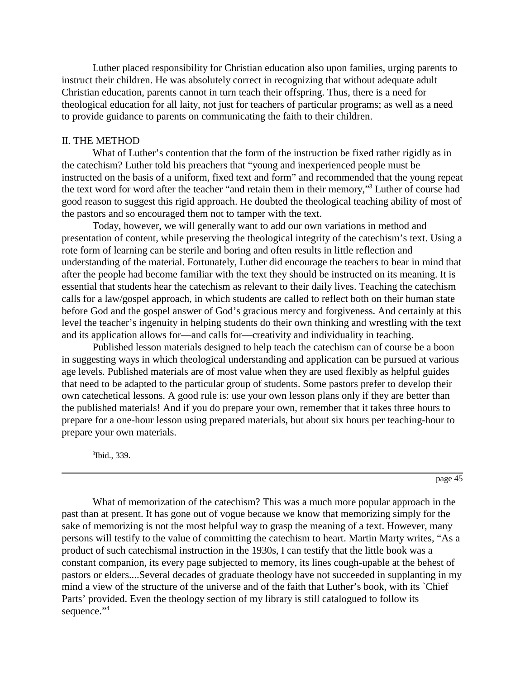Luther placed responsibility for Christian education also upon families, urging parents to instruct their children. He was absolutely correct in recognizing that without adequate adult Christian education, parents cannot in turn teach their offspring. Thus, there is a need for theological education for all laity, not just for teachers of particular programs; as well as a need to provide guidance to parents on communicating the faith to their children.

## II. THE METHOD

What of Luther's contention that the form of the instruction be fixed rather rigidly as in the catechism? Luther told his preachers that "young and inexperienced people must be instructed on the basis of a uniform, fixed text and form" and recommended that the young repeat the text word for word after the teacher "and retain them in their memory,"<sup>3</sup> Luther of course had good reason to suggest this rigid approach. He doubted the theological teaching ability of most of the pastors and so encouraged them not to tamper with the text.

Today, however, we will generally want to add our own variations in method and presentation of content, while preserving the theological integrity of the catechism's text. Using a rote form of learning can be sterile and boring and often results in little reflection and understanding of the material. Fortunately, Luther did encourage the teachers to bear in mind that after the people had become familiar with the text they should be instructed on its meaning. It is essential that students hear the catechism as relevant to their daily lives. Teaching the catechism calls for a law/gospel approach, in which students are called to reflect both on their human state before God and the gospel answer of God's gracious mercy and forgiveness. And certainly at this level the teacher's ingenuity in helping students do their own thinking and wrestling with the text and its application allows for—and calls for—creativity and individuality in teaching.

Published lesson materials designed to help teach the catechism can of course be a boon in suggesting ways in which theological understanding and application can be pursued at various age levels. Published materials are of most value when they are used flexibly as helpful guides that need to be adapted to the particular group of students. Some pastors prefer to develop their own catechetical lessons. A good rule is: use your own lesson plans only if they are better than the published materials! And if you do prepare your own, remember that it takes three hours to prepare for a one-hour lesson using prepared materials, but about six hours per teaching-hour to prepare your own materials.

3 Ibid., 339.

page 45

What of memorization of the catechism? This was a much more popular approach in the past than at present. It has gone out of vogue because we know that memorizing simply for the sake of memorizing is not the most helpful way to grasp the meaning of a text. However, many persons will testify to the value of committing the catechism to heart. Martin Marty writes, "As a product of such catechismal instruction in the 1930s, I can testify that the little book was a constant companion, its every page subjected to memory, its lines cough-upable at the behest of pastors or elders....Several decades of graduate theology have not succeeded in supplanting in my mind a view of the structure of the universe and of the faith that Luther's book, with its `Chief Parts' provided. Even the theology section of my library is still catalogued to follow its sequence."<sup>4</sup>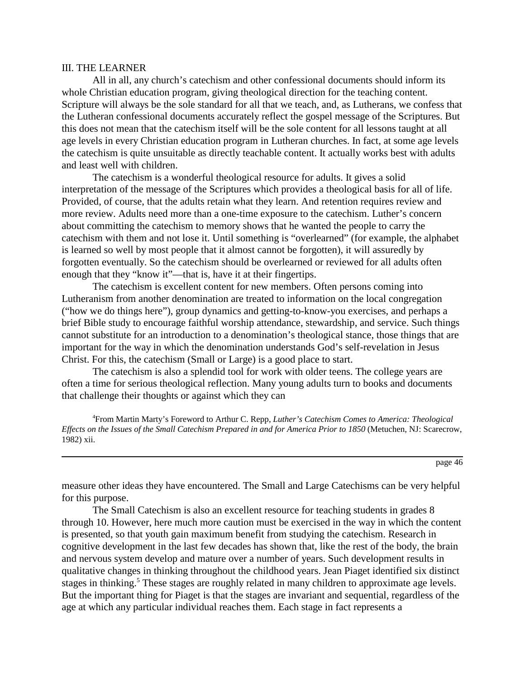## III. THE LEARNER

All in all, any church's catechism and other confessional documents should inform its whole Christian education program, giving theological direction for the teaching content. Scripture will always be the sole standard for all that we teach, and, as Lutherans, we confess that the Lutheran confessional documents accurately reflect the gospel message of the Scriptures. But this does not mean that the catechism itself will be the sole content for all lessons taught at all age levels in every Christian education program in Lutheran churches. In fact, at some age levels the catechism is quite unsuitable as directly teachable content. It actually works best with adults and least well with children.

The catechism is a wonderful theological resource for adults. It gives a solid interpretation of the message of the Scriptures which provides a theological basis for all of life. Provided, of course, that the adults retain what they learn. And retention requires review and more review. Adults need more than a one-time exposure to the catechism. Luther's concern about committing the catechism to memory shows that he wanted the people to carry the catechism with them and not lose it. Until something is "overlearned" (for example, the alphabet is learned so well by most people that it almost cannot be forgotten), it will assuredly by forgotten eventually. So the catechism should be overlearned or reviewed for all adults often enough that they "know it"—that is, have it at their fingertips.

The catechism is excellent content for new members. Often persons coming into Lutheranism from another denomination are treated to information on the local congregation ("how we do things here"), group dynamics and getting-to-know-you exercises, and perhaps a brief Bible study to encourage faithful worship attendance, stewardship, and service. Such things cannot substitute for an introduction to a denomination's theological stance, those things that are important for the way in which the denomination understands God's self-revelation in Jesus Christ. For this, the catechism (Small or Large) is a good place to start.

The catechism is also a splendid tool for work with older teens. The college years are often a time for serious theological reflection. Many young adults turn to books and documents that challenge their thoughts or against which they can

4 From Martin Marty's Foreword to Arthur C. Repp, *Luther's Catechism Comes to America: Theological Effects on the Issues of the Small Catechism Prepared in and for America Prior to 1850* (Metuchen, NJ: Scarecrow, 1982) xii.

page 46

measure other ideas they have encountered. The Small and Large Catechisms can be very helpful for this purpose.

The Small Catechism is also an excellent resource for teaching students in grades 8 through 10. However, here much more caution must be exercised in the way in which the content is presented, so that youth gain maximum benefit from studying the catechism. Research in cognitive development in the last few decades has shown that, like the rest of the body, the brain and nervous system develop and mature over a number of years. Such development results in qualitative changes in thinking throughout the childhood years. Jean Piaget identified six distinct stages in thinking.<sup>5</sup> These stages are roughly related in many children to approximate age levels. But the important thing for Piaget is that the stages are invariant and sequential, regardless of the age at which any particular individual reaches them. Each stage in fact represents a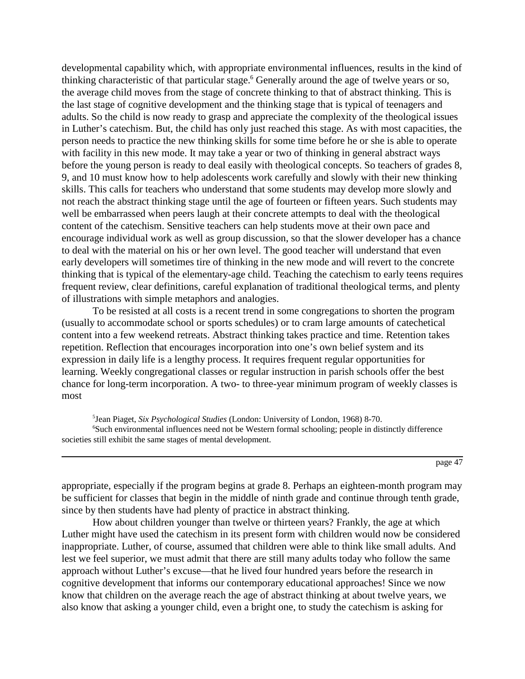developmental capability which, with appropriate environmental influences, results in the kind of thinking characteristic of that particular stage.<sup>6</sup> Generally around the age of twelve years or so, the average child moves from the stage of concrete thinking to that of abstract thinking. This is the last stage of cognitive development and the thinking stage that is typical of teenagers and adults. So the child is now ready to grasp and appreciate the complexity of the theological issues in Luther's catechism. But, the child has only just reached this stage. As with most capacities, the person needs to practice the new thinking skills for some time before he or she is able to operate with facility in this new mode. It may take a year or two of thinking in general abstract ways before the young person is ready to deal easily with theological concepts. So teachers of grades 8, 9, and 10 must know how to help adolescents work carefully and slowly with their new thinking skills. This calls for teachers who understand that some students may develop more slowly and not reach the abstract thinking stage until the age of fourteen or fifteen years. Such students may well be embarrassed when peers laugh at their concrete attempts to deal with the theological content of the catechism. Sensitive teachers can help students move at their own pace and encourage individual work as well as group discussion, so that the slower developer has a chance to deal with the material on his or her own level. The good teacher will understand that even early developers will sometimes tire of thinking in the new mode and will revert to the concrete thinking that is typical of the elementary-age child. Teaching the catechism to early teens requires frequent review, clear definitions, careful explanation of traditional theological terms, and plenty of illustrations with simple metaphors and analogies.

To be resisted at all costs is a recent trend in some congregations to shorten the program (usually to accommodate school or sports schedules) or to cram large amounts of catechetical content into a few weekend retreats. Abstract thinking takes practice and time. Retention takes repetition. Reflection that encourages incorporation into one's own belief system and its expression in daily life is a lengthy process. It requires frequent regular opportunities for learning. Weekly congregational classes or regular instruction in parish schools offer the best chance for long-term incorporation. A two- to three-year minimum program of weekly classes is most

5 Jean Piaget, *Six Psychological Studies* (London: University of London, 1968) 8-70. 6 Such environmental influences need not be Western formal schooling; people in distinctly difference societies still exhibit the same stages of mental development.

page 47

appropriate, especially if the program begins at grade 8. Perhaps an eighteen-month program may be sufficient for classes that begin in the middle of ninth grade and continue through tenth grade, since by then students have had plenty of practice in abstract thinking.

How about children younger than twelve or thirteen years? Frankly, the age at which Luther might have used the catechism in its present form with children would now be considered inappropriate. Luther, of course, assumed that children were able to think like small adults. And lest we feel superior, we must admit that there are still many adults today who follow the same approach without Luther's excuse—that he lived four hundred years before the research in cognitive development that informs our contemporary educational approaches! Since we now know that children on the average reach the age of abstract thinking at about twelve years, we also know that asking a younger child, even a bright one, to study the catechism is asking for